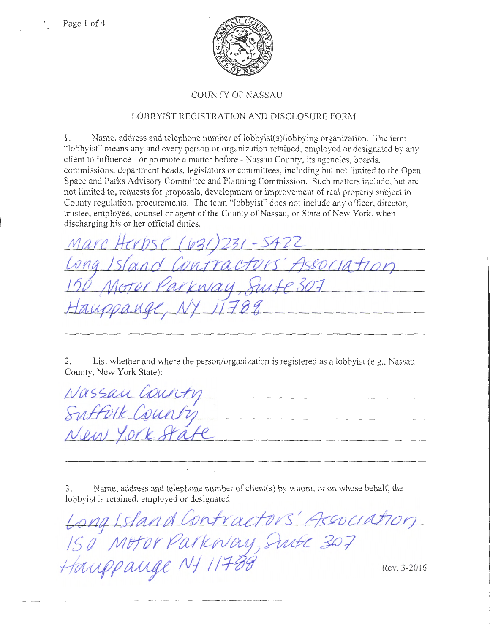

## COUNTY OF NASSAU

## LOBBYIST REGISTRATION AND DISCLOSURE FORM

1. Name. address and telephone number of lobbyist(s)/lobbying organization. The term "lobbyist" means any and every person or organization retained, employed or designated by any client to influence- or promote a matter before- Nassau County, its agencies, boards, commissions, department heads, legislators or committees, including but not limited to the Open Space and Parks Advisory Committee and Planning Commission. Such matters include, but arc not limited to, requests for proposals, development or improvement of real property subject to County regulation, procurements. The term "lobbyist" does not include any officer, director, trustee, employee, counsel or agent of the County of Nassau, or State of New York, when discharging his or her official duties.

 $(631)231 - 5422$ S'Association entracte kway Suite 307

2. List whether and where the person/organization is registered as a lobbyist (e.g., Nassau County, New York State):

| Nassau Country |  |
|----------------|--|
| Suffort County |  |
| New York State |  |

3. Name, address and telephone number of client(s) by whom, or on whose behalf, the lobbyist is retained, employed or designated:

*b4Jt1f* /s#t.LZd Con.irtubn I *;9c¥va dhoq*  150 Motor Parkway, Suite 307<br>Hawpawae NJ 11788 *Hauppauge NJ 11788* Rev. 3-2016 ----------·------ -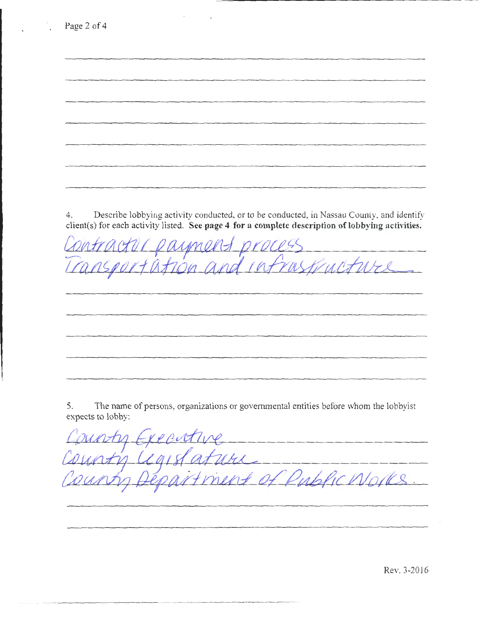|    | client(s) for each activity listed. See page 4 for a complete description of lobbying activities.         |
|----|-----------------------------------------------------------------------------------------------------------|
|    | IMFin                                                                                                     |
|    |                                                                                                           |
|    |                                                                                                           |
|    |                                                                                                           |
|    |                                                                                                           |
| 5. | The name of persons, organizations or governmental entities before whom the lobbyist<br>expects to lobby: |
|    |                                                                                                           |
|    |                                                                                                           |

\_\_\_\_\_\_\_\_\_\_\_\_\_\_\_\_ .........

Rev. 3-2016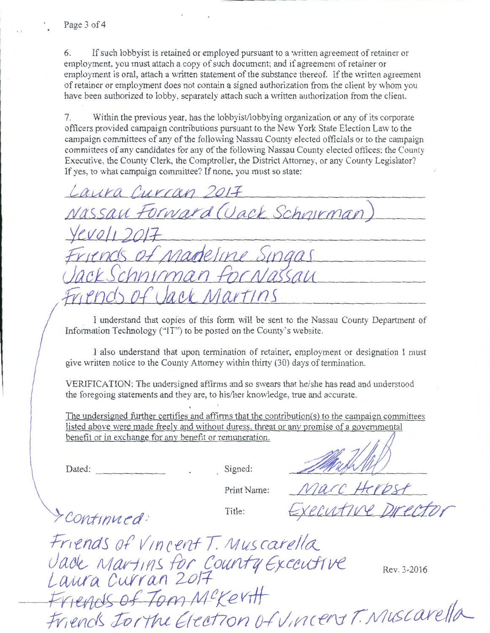6. If such lobby ist is retained or employed pursuant to a written agreement of retainer or employment, you must attach a copy of such document; and if agreement of retainer or employment is oral, attach a written statement of the substance thereof. If the written agreement of retainer or employment does not contain a signed authorization from the client by whom you have been authorized to lobby, separately attach such a written authorization from the client.

7. Within the previous year, has the lobbyist/lobbying organization or any of its corporate officers provided campaign contributions pursuant to the New York State Election Law to the campaign committees of any of the following Nassau County elected officials or to the campaign committees of any candidates for any of the following Nassau County elected offices: the County Executive, the County Clerk, the Comptroller, the District Attorney, or any County Legislator? If yes, to what campaign committee? If none, you must so state:

Laura Curran 2017 Nassau Forward (Jack Schnirman Vevoli 201 teline Singas  $\Lambda k$ 

I understand that copies of this form will be sent to the Nassau County Department of Information Technology ("IT") to be posted on the County's website.

I also understand that upon termination of retainer, employment or designation I must give written notice to the County Attorney within thirty (30) days of termination.

VERIFICATION: The undersigned affirms and so swears that he/she has read and understood the foregoing statements and they are, to his/her knowledge, true and accurate.

The undersigned further certifies and affirms that the contribution( $s$ ) to the campaign committees listed above were made freely and without duress, threat or any promise of a governmental The undersigned further certifies and affirms that the contribution(s) to the campaign comm<br>listed above were made freely and without duress, threat or any promise of a governmental<br>benefit or in exchange for any benefit

Dated:

Signed:

... *0* 

Print Name:

I continued:

Title:

Marc Herbst ecutive Director

Friends of *Vincent T. Muscarella* Jade Martins for County Executive Rev. 3-2016 Laura Curran 2017 Friends of Tom M<sup>c</sup>Kertt<br>Friends Jorthe Election of Vincent T. Muscarella